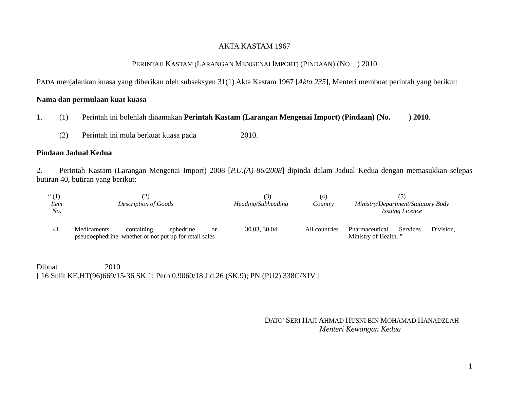## AKTA KASTAM 1967

#### PERINTAH KASTAM (LARANGAN MENGENAI IMPORT) (PINDAAN) (NO. ) 2010

PADA menjalankan kuasa yang diberikan oleh subseksyen 31(1) Akta Kastam 1967 [*Akta 235*], Menteri membuat perintah yang berikut:

## **Nama dan permulaan kuat kuasa**

- 1. (1) Perintah ini bolehlah dinamakan **Perintah Kastam (Larangan Mengenai Import) (Pindaan) (No. ) 2010**.
	- (2) Perintah ini mula berkuat kuasa pada 2010.

#### **Pindaan Jadual Kedua**

2. Perintah Kastam (Larangan Mengenai Import) 2008 [*P.U.(A) 86/2008*] dipinda dalam Jadual Kedua dengan memasukkan selepas butiran 40, butiran yang berikut:

| $\lq(1)$<br><i>Item</i><br>No. | <b>Description of Goods</b> |                                                                      |           |    | [3]<br>Heading/Subheading | (4`<br>Country | Ministry/Department/Statutory Body<br><b>Issuing Licence</b> |                 |           |
|--------------------------------|-----------------------------|----------------------------------------------------------------------|-----------|----|---------------------------|----------------|--------------------------------------------------------------|-----------------|-----------|
| 41.                            | Medicaments                 | containing<br>pseudoephedrine whether or not put up for retail sales | ephedrine | or | 30.03, 30.04              | All countries  | Pharmaceutical<br>Ministry of Health."                       | <b>Services</b> | Division. |

Dibuat 2010 [ 16 Sulit KE.HT(96)669/15-36 SK.1; Perb.0.9060/18 Jld.26 (SK.9); PN (PU2) 338C/XIV ]

# DATO' SERI HAJI AHMAD HUSNI BIN MOHAMAD HANADZLAH *Menteri Kewangan Kedua*